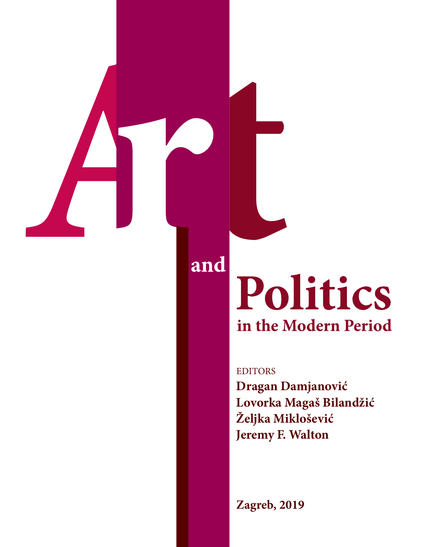

# Politics in the Modern Period

EDITORS **Dragan Damjanović Lovorka Magaš Bilandžić Željka Miklošević Jeremy F. Walton**

**Zagreb, 2019**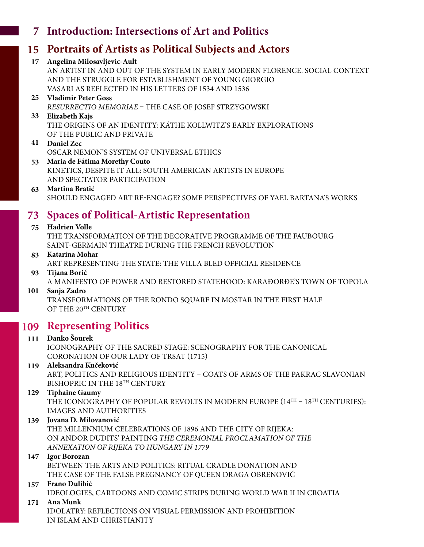# **Introduction: Intersections of Art and Politics 7**

# **Portraits of Artists as Political Subjects and Actors 15**

**Angelina Milosavljevic-Ault 17** AN ARTIST IN AND OUT OF THE SYSTEM IN EARLY MODERN FLORENCE. SOCIAL CONTEXT AND THE STRUGGLE FOR ESTABLISHMENT OF YOUNG GIORGIO VASARI AS REFLECTED IN HIS LETTERS OF 1534 AND 1536

#### **Vladimir Peter Goss 25** *RESURRECTIO MEMORIAE* – THE CASE OF JOSEF STRZYGOWSKI

**Elizabeth Kajs 33** THE ORIGINS OF AN IDENTITY: KÄTHE KOLLWITZ'S EARLY EXPLORATIONS OF THE PUBLIC AND PRIVATE

## **Daniel Zec 41** OSCAR NEMON'S SYSTEM OF UNIVERSAL ETHICS

**Maria de Fátima Morethy Couto 53** KINETICS, DESPITE IT ALL: SOUTH AMERICAN ARTISTS IN EUROPE AND SPECTATOR PARTICIPATION

#### **Martina Bratić 63** SHOULD ENGAGED ART RE-ENGAGE? SOME PERSPECTIVES OF YAEL BARTANA'S WORKS

# **Spaces of Political-Artistic Representation 73**

## **Hadrien Volle 75**

THE TRANSFORMATION OF THE DECORATIVE PROGRAMME OF THE FAUBOURG SAINT-GERMAIN THEATRE DURING THE FRENCH REVOLUTION

#### **Katarina Mohar 83** ART REPRESENTING THE STATE: THE VILLA BLED OFFICIAL RESIDENCE

**Tijana Borić 93** A MANIFESTO OF POWER AND RESTORED STATEHOOD: KARAĐORĐE'S TOWN OF TOPOLA

## **Sanja Zadro 101**

TRANSFORMATIONS OF THE RONDO SQUARE IN MOSTAR IN THE FIRST HALF OF THE 20TH CENTURY

# **Representing Politics 109**

#### **Danko Šourek 111** ICONOGRAPHY OF THE SACRED STAGE: SCENOGRAPHY FOR THE CANONICAL CORONATION OF OUR LADY OF TRSAT (1715)

## **Aleksandra Kučeković 119**

ART, POLITICS AND RELIGIOUS IDENTITY – COATS OF ARMS OF THE PAKRAC SLAVONIAN BISHOPRIC IN THE 18<sup>TH</sup> CENTURY

## **Tiphaine Gaumy 129**

THE ICONOGRAPHY OF POPULAR REVOLTS IN MODERN EUROPE  $(14^{TH} - 18^{TH}$  CENTURIES): IMAGES AND AUTHORITIES

## **Jovana D. Milovanović 139**

THE MILLENNIUM CELEBRATIONS OF 1896 AND THE CITY OF RIJEKA: ON ANDOR DUDITS' PAINTING *THE CEREMONIAL PROCLAMATION OF THE ANNEXATION OF RIJEKA TO HUNGARY IN 1779*

## **Igor Borozan 147**

BETWEEN THE ARTS AND POLITICS: RITUAL CRADLE DONATION AND THE CASE OF THE FALSE PREGNANCY OF QUEEN DRAGA OBRENOVIĆ

# **Frano Dulibić 157**

IDEOLOGIES, CARTOONS AND COMIC STRIPS DURING WORLD WAR II IN CROATIA

## **Ana Munk 171**

IDOLATRY: REFLECTIONS ON VISUAL PERMISSION AND PROHIBITION IN ISLAM AND CHRISTIANITY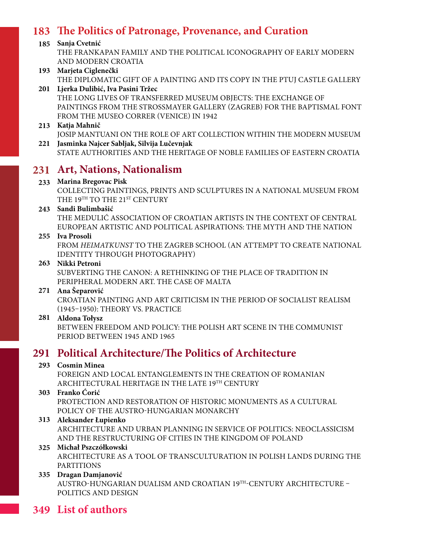# **183 The Politics of Patronage, Provenance, and Curation**

## **185 Sanja Cvetnić**

THE FRANKAPAN FAMILY AND THE POLITICAL ICONOGRAPHY OF EARLY MODERN AND MODERN CROATIA

#### **193 Marjeta Ciglenečki** THE DIPLOMATIC GIFT OF A PAINTING AND ITS COPY IN THE PTUJ CASTLE GALLERY

**201 Ljerka Dulibić, Iva Pasini Tržec** THE LONG LIVES OF TRANSFERRED MUSEUM OBJECTS: THE EXCHANGE OF PAINTINGS FROM THE STROSSMAYER GALLERY (ZAGREB) FOR THE BAPTISMAL FONT FROM THE MUSEO CORRER (VENICE) IN 1942

#### **213 Katja Mahnič**

**221 Jasminka Najcer Sabljak, Silvija Lučevnjak** JOSIP MANTUANI ON THE ROLE OF ART COLLECTION WITHIN THE MODERN MUSEUM

STATE AUTHORITIES AND THE HERITAGE OF NOBLE FAMILIES OF EASTERN CROATIA

# **231 Art, Nations, Nationalism**

#### **233 Marina Bregovac Pisk**

COLLECTING PAINTINGS, PRINTS AND SCULPTURES IN A NATIONAL MUSEUM FROM THE 19TH TO THE 21ST CENTURY

#### **243 Sandi Bulimbašić**

THE MEDULIĆ ASSOCIATION OF CROATIAN ARTISTS IN THE CONTEXT OF CENTRAL EUROPEAN ARTISTIC AND POLITICAL ASPIRATIONS: THE MYTH AND THE NATION

#### **255 Iva Prosoli**

FROM *HEIMATKUNST* TO THE ZAGREB SCHOOL (AN ATTEMPT TO CREATE NATIONAL IDENTITY THROUGH PHOTOGRAPHY)

#### **263 Nikki Petroni**

SUBVERTING THE CANON: A RETHINKING OF THE PLACE OF TRADITION IN PERIPHERAL MODERN ART. THE CASE OF MALTA

#### **271 Ana Šeparović**

CROATIAN PAINTING AND ART CRITICISM IN THE PERIOD OF SOCIALIST REALISM (1945–1950): THEORY VS. PRACTICE

#### **281 Aldona Tołysz**

BETWEEN FREEDOM AND POLICY: THE POLISH ART SCENE IN THE COMMUNIST PERIOD BETWEEN 1945 AND 1965

## **291 Political Architecture/The Politics of Architecture**

#### **293 Cosmin Minea**

FOREIGN AND LOCAL ENTANGLEMENTS IN THE CREATION OF ROMANIAN ARCHITECTURAL HERITAGE IN THE LATE 19TH CENTURY

#### **303 Franko Ćorić**

PROTECTION AND RESTORATION OF HISTORIC MONUMENTS AS A CULTURAL POLICY OF THE AUSTRO-HUNGARIAN MONARCHY

#### **313 Aleksander Łupienko**

ARCHITECTURE AND URBAN PLANNING IN SERVICE OF POLITICS: NEOCLASSICISM AND THE RESTRUCTURING OF CITIES IN THE KINGDOM OF POLAND

#### **325 Michał Pszczółkowski**

ARCHITECTURE AS A TOOL OF TRANSCULTURATION IN POLISH LANDS DURING THE PARTITIONS

## **335 Dragan Damjanović**

AUSTRO-HUNGARIAN DUALISM AND CROATIAN 19TH-CENTURY ARCHITECTURE – POLITICS AND DESIGN

# **349 List of authors**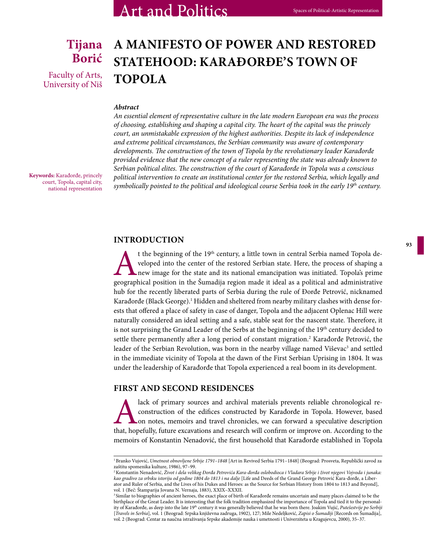## **Tijana Borić**

Faculty of Arts, University of Niš

# **A MANIFESTO OF POWER AND RESTORED STATEHOOD: KARAĐORĐE'S TOWN OF TOPOLA**

#### *Abstract*

*An essential element of representative culture in the late modern European era was the process of choosing, establishing and shaping a capital city. The heart of the capital was the princely court, an unmistakable expression of the highest authorities. Despite its lack of independence and extreme political circumstances, the Serbian community was aware of contemporary developments. The construction of the town of Topola by the revolutionary leader Karađorđe provided evidence that the new concept of a ruler representing the state was already known to Serbian political elites. The construction of the court of Karađorđe in Topola was a conscious political intervention to create an institutional center for the restored Serbia, which legally and symbolically pointed to the political and ideological course Serbia took in the early 19th century.*

**Keywords:** Karađorđe, princely court, Topola, capital city, national representation

#### **INTRODUCTION**

t the beginning of the 19<sup>th</sup> century, a little town in central Serbia named Topola developed into the center of the restored Serbian state. Here, the process of shaping a new image for the state and its national emancipat veloped into the center of the restored Serbian state. Here, the process of shaping a new image for the state and its national emancipation was initiated. Topola's prime geographical position in the Šumadija region made it ideal as a political and administrative hub for the recently liberated parts of Serbia during the rule of Đorđe Petrović, nicknamed Karađorđe (Black George).<sup>1</sup> Hidden and sheltered from nearby military clashes with dense forests that offered a place of safety in case of danger, Topola and the adjacent Oplenac Hill were naturally considered an ideal setting and a safe, stable seat for the nascent state. Therefore, it is not surprising the Grand Leader of the Serbs at the beginning of the 19<sup>th</sup> century decided to settle there permanently after a long period of constant migration.<sup>2</sup> Karađorđe Petrović, the leader of the Serbian Revolution, was born in the nearby village named Viševac<sup>3</sup> and settled in the immediate vicinity of Topola at the dawn of the First Serbian Uprising in 1804. It was under the leadership of Karađorđe that Topola experienced a real boom in its development.

#### **FIRST AND SECOND RESIDENCES**

lack of primary sources and archival materials prevents reliable chronological reconstruction of the edifices constructed by Karađorđe in Topola. However, based on notes, memoirs and travel chronicles, we can forward a spe construction of the edifices constructed by Karađorđe in Topola. However, based on notes, memoirs and travel chronicles, we can forward a speculative description that, hopefully, future excavations and research will confirm or improve on. According to the memoirs of Konstantin Nenadović, the first household that Karađorđe established in Topola

<sup>1</sup> Branko Vujović, *Umetnost obnovljene Srbije 1791–1848* [Art in Revived Serbia 1791–1848] (Beograd: Prosveta, Republički zavod za zaštitu spomenika kulture, 1986), 97–99.

<sup>2</sup> Konstantin Nenadović, *Život i dela velikog Đorđa Petrovića Kara-đorđa oslobodioca i Vladara Srbije i život njegovi Vojvoda i junaka: kao gradivo za srbsku istoriju od godine 1804 do 1813 i na dalje* [Life and Deeds of the Grand George Petrović Kara-đorđe, a Liberator and Ruler of Serbia, and the Lives of his Dukes and Heroes: as the Source for Serbian History from 1804 to 1813 and Beyond], vol. 1 (Beč: Štamparija Jovana N. Vernaja, 1883), XXIX–XXXII.

<sup>&</sup>lt;sup>3</sup> Similar to biographies of ancient heroes, the exact place of birth of Karađorđe remains uncertain and many places claimed to be the birthplace of the Great Leader. It is interesting that the folk tradition emphasized the importance of Topola and tied it to the personality of Karađorđe, as deep into the late 19th century it was generally believed that he was born there. Joakim Vujić, *Putešestvije po Serbiji*  [*Travels in Serbia*], vol. 1 (Beograd: Srpska književna zadruga, 1902), 127; Mile Nedeljković, *Zapisi o Šumadiji* [Records on Šumadija], vol. 2 (Beograd: Centar za naučna istraživanja Srpske akademije nauka i umetnosti i Univerziteta u Kragujevcu, 2000), 35–37.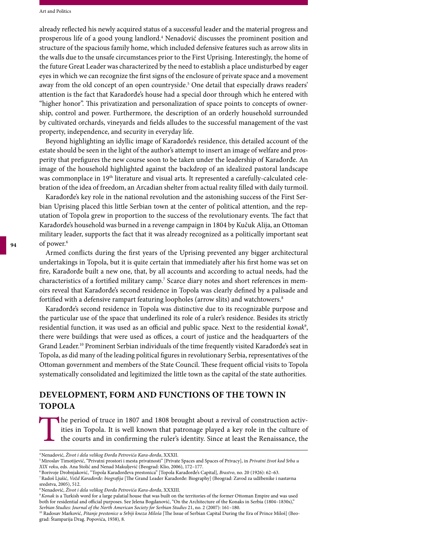already reflected his newly acquired status of a successful leader and the material progress and prosperous life of a good young landlord.4 Nenadović discusses the prominent position and structure of the spacious family home, which included defensive features such as arrow slits in the walls due to the unsafe circumstances prior to the First Uprising. Interestingly, the home of the future Great Leader was characterized by the need to establish a place undisturbed by eager eyes in which we can recognize the first signs of the enclosure of private space and a movement away from the old concept of an open countryside.<sup>5</sup> One detail that especially draws readers' attention is the fact that Karađorđe's house had a special door through which he entered with "higher honor". This privatization and personalization of space points to concepts of ownership, control and power. Furthermore, the description of an orderly household surrounded by cultivated orchards, vineyards and fields alludes to the successful management of the vast property, independence, and security in everyday life.

Beyond highlighting an idyllic image of Karađorđe's residence, this detailed account of the estate should be seen in the light of the author's attempt to insert an image of welfare and prosperity that prefigures the new course soon to be taken under the leadership of Karađorđe. An image of the household highlighted against the backdrop of an idealized pastoral landscape was commonplace in 19<sup>th</sup> literature and visual arts. It represented a carefully-calculated celebration of the idea of freedom, an Arcadian shelter from actual reality filled with daily turmoil.

Karađorđe's key role in the national revolution and the astonishing success of the First Serbian Uprising placed this little Serbian town at the center of political attention, and the reputation of Topola grew in proportion to the success of the revolutionary events. The fact that Karađorđe's household was burned in a revenge campaign in 1804 by Kučuk Alija, an Ottoman military leader, supports the fact that it was already recognized as a politically important seat of power.<sup>6</sup>

Armed conflicts during the first years of the Uprising prevented any bigger architectural undertakings in Topola, but it is quite certain that immediately after his first home was set on fire, Karađorđe built a new one, that, by all accounts and according to actual needs, had the characteristics of a fortified military camp.7 Scarce diary notes and short references in memoirs reveal that Karađorđe's second residence in Topola was clearly defined by a palisade and fortified with a defensive rampart featuring loopholes (arrow slits) and watchtowers.<sup>8</sup>

Karađorđe's second residence in Topola was distinctive due to its recognizable purpose and the particular use of the space that underlined its role of a ruler's residence. Besides its strictly residential function, it was used as an official and public space. Next to the residential *konak*<sup>9</sup> , there were buildings that were used as offices, a court of justice and the headquarters of the Grand Leader.10 Prominent Serbian individuals of the time frequently visited Karađorđe's seat in Topola, as did many of the leading political figures in revolutionary Serbia, representatives of the Ottoman government and members of the State Council. These frequent official visits to Topola systematically consolidated and legitimized the little town as the capital of the state authorities.

#### **DEVELOPMENT, FORM AND FUNCTIONS OF THE TOWN IN TOPOLA**

The period of truce in 1807 and 1808 brought about a revival of construction activities in Topola. It is well known that patronage played a key role in the culture of the courts and in confirming the ruler's identity. Sinc ities in Topola. It is well known that patronage played a key role in the culture of the courts and in confirming the ruler's identity. Since at least the Renaissance, the

<sup>4</sup> Nenadović, *Život i dela velikog Đorđa Petrovića Kara-đorđa*, XXXII.

<sup>5</sup> Miroslav Timotijević, "Privatni prostori i mesta privatnosti" [Private Spaces and Spaces of Privacy], in *Privatni život kod Srba u XIX veku*, eds. Ana Stolić and Nenad Makuljević (Beograd: Klio, 2006), 172–177.

<sup>6</sup> Borivoje Drobnjaković, "Topola Karađorđeva prestonica" [Topola Karađorđe's Capital], *Brastvo*, no. 20 (1926): 62*–*63.

<sup>7</sup> Radoš Ljušić, *Vožd Karađorđe: biografija* [The Grand Leader Karađorđe: Biography] (Beograd: Zavod za udžbenike i nastavna sredstva, 2005), 512.

<sup>8</sup> Nenadović, *Život i dela velikog Đorđa Petrovića Kara-đorđa*, XXXIII.

<sup>9</sup>*Konak* is a Turkish word for a large palatial house that was built on the territories of the former Ottoman Empire and was used both for residential and official purposes. See Jelena Bogdanović, "On the Architecture of the Konaks in Serbia (1804–1830s)," *Serbian Studies: Journal of the North American Society for Serbian Studies* 21, no. 2 (2007): 161–180.

<sup>10</sup> Radosav Marković, *Pitanje prestonice u Srbiji kneza Miloša* [The Issue of Serbian Capital During the Era of Prince Miloš] (Beograd: Štamparija Drag. Popovića, 1938), 8.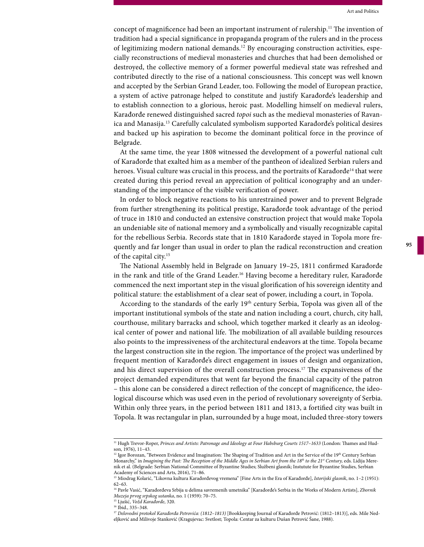concept of magnificence had been an important instrument of rulership.<sup>11</sup> The invention of tradition had a special significance in propaganda program of the rulers and in the process of legitimizing modern national demands.12 By encouraging construction activities, especially reconstructions of medieval monasteries and churches that had been demolished or destroyed, the collective memory of a former powerful medieval state was refreshed and contributed directly to the rise of a national consciousness. This concept was well known and accepted by the Serbian Grand Leader, too. Following the model of European practice, a system of active patronage helped to constitute and justify Karađorđe's leadership and to establish connection to a glorious, heroic past. Modelling himself on medieval rulers, Karađorđe renewed distinguished sacred *topoi* such as the medieval monasteries of Ravanica and Manasija.<sup>13</sup> Carefully calculated symbolism supported Karađorđe's political desires and backed up his aspiration to become the dominant political force in the province of Belgrade.

At the same time, the year 1808 witnessed the development of a powerful national cult of Karađorđe that exalted him as a member of the pantheon of idealized Serbian rulers and heroes. Visual culture was crucial in this process, and the portraits of Karađorđe<sup>14</sup> that were created during this period reveal an appreciation of political iconography and an understanding of the importance of the visible verification of power.

In order to block negative reactions to his unrestrained power and to prevent Belgrade from further strengthening its political prestige, Karađorđe took advantage of the period of truce in 1810 and conducted an extensive construction project that would make Topola an undeniable site of national memory and a symbolically and visually recognizable capital for the rebellious Serbia. Records state that in 1810 Karađorđe stayed in Topola more frequently and far longer than usual in order to plan the radical reconstruction and creation of the capital city.15

The National Assembly held in Belgrade on January 19–25, 1811 confirmed Karađorđe in the rank and title of the Grand Leader.<sup>16</sup> Having become a hereditary ruler, Karađorđe commenced the next important step in the visual glorification of his sovereign identity and political stature: the establishment of a clear seat of power, including a court, in Topola.

According to the standards of the early  $19<sup>th</sup>$  century Serbia, Topola was given all of the important institutional symbols of the state and nation including a court, church, city hall, courthouse, military barracks and school, which together marked it clearly as an ideological center of power and national life. The mobilization of all available building resources also points to the impressiveness of the architectural endeavors at the time. Topola became the largest construction site in the region. The importance of the project was underlined by frequent mention of Karađorđe's direct engagement in issues of design and organization, and his direct supervision of the overall construction process.17 The expansiveness of the project demanded expenditures that went far beyond the financial capacity of the patron – this alone can be considered a direct reflection of the concept of magnificence, the ideological discourse which was used even in the period of revolutionary sovereignty of Serbia. Within only three years, in the period between 1811 and 1813, a fortified city was built in Topola. It was rectangular in plan, surrounded by a huge moat, included three-story towers

<sup>11</sup> Hugh Trevor-Roper, *Princes and Artists: Patronage and Ideology at Four Habsburg Courts 1517–1633* (London: Thames and Hudson, 1976), 11–43.

<sup>&</sup>lt;sup>12</sup> Igor Borozan, "Between Evidence and Imagination: The Shaping of Tradition and Art in the Service of the 19<sup>th</sup> Century Serbian Monarchy," in *Imagining the Past: The Reception of the Middle Ages in Serbian Art from the 18<sup>th</sup> to the 21<sup>st</sup> Century, eds. Lidija Mere*nik et al. (Belgrade: Serbian National Committee of Byzantine Studies; Službeni glasnik; Instutute for Byzantine Studies, Serbian Academy of Sciences and Arts, 2016), 71–86.

<sup>13</sup> Miodrag Kolarić, "Likovna kultura Karađorđevog vremena" [Fine Arts in the Era of Karađorđe], *Istorijski glasnik*, no. 1–2 (1951): 62–63.

<sup>14</sup> Pavle Vasić, "Karađorđeva Srbija u delima savremenih umetnika" [Karađorđe's Serbia in the Works of Modern Artists], *Zbornik Muzeja prvog srpskog ustanka*, no. 1 (1959): 70–75.

<sup>15</sup> Ljušić, *Vožd Karađorđe*, 320.

<sup>16</sup> Ibid., 335–348.

<sup>17</sup> *Delovodni protokol Karađorđa Petrovića: (1812–1813)* [Bookkeeping Journal of Karađorđe Petrović: (1812–1813)], eds. Mile Nedeljković and Milivoje Stanković (Kragujevac: Svetlost; Topola: Centar za kulturu Dušan Petrović Šane, 1988).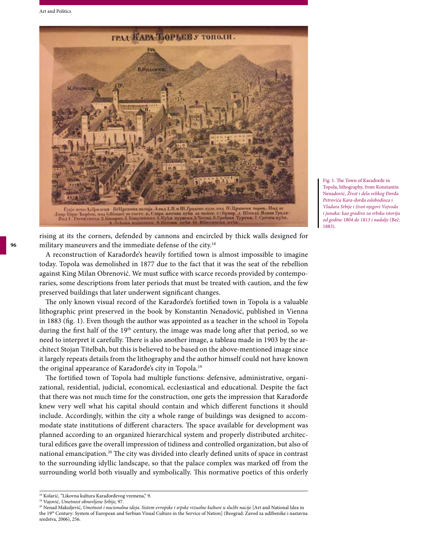

Fig. 1. The Town of Karađorđe in Topola, lithography, from Konstantin Nenadović, *Život i dela velikog Đorđa Petrovića Kara-đorđa oslobodioca i Vladara Srbije i život njegovi Vojvoda i junaka: kao gradivo za srbsku istoriju od godine 1804 do 1813 i nadalje* (Beč: 1883).

rising at its the corners, defended by cannons and encircled by thick walls designed for military maneuvers and the immediate defense of the city.<sup>18</sup>

A reconstruction of Karađorđe's heavily fortified town is almost impossible to imagine today. Topola was demolished in 1877 due to the fact that it was the seat of the rebellion against King Milan Obrenović. We must suffice with scarce records provided by contemporaries, some descriptions from later periods that must be treated with caution, and the few preserved buildings that later underwent significant changes.

The only known visual record of the Karađorđe's fortified town in Topola is a valuable lithographic print preserved in the book by Konstantin Nenadović, published in Vienna in 1883 (fig. 1). Even though the author was appointed as a teacher in the school in Topola during the first half of the 19<sup>th</sup> century, the image was made long after that period, so we need to interpret it carefully. There is also another image, a tableau made in 1903 by the architect Stojan Titelbah, but this is believed to be based on the above-mentioned image since it largely repeats details from the lithography and the author himself could not have known the original appearance of Karađorđe's city in Topola.<sup>19</sup>

The fortified town of Topola had multiple functions: defensive, administrative, organizational, residential, judicial, economical, ecclesiastical and educational. Despite the fact that there was not much time for the construction, one gets the impression that Karađorđe knew very well what his capital should contain and which different functions it should include. Accordingly, within the city a whole range of buildings was designed to accommodate state institutions of different characters. The space available for development was planned according to an organized hierarchical system and properly distributed architectural edifices gave the overall impression of tidiness and controlled organization, but also of national emancipation.<sup>20</sup> The city was divided into clearly defined units of space in contrast to the surrounding idyllic landscape, so that the palace complex was marked off from the surrounding world both visually and symbolically. This normative poetics of this orderly

<sup>&</sup>lt;sup>18</sup> Kolarić, "Likovna kultura Karađorđevog vremena," 9.

<sup>19</sup> Vujović, *Umetnost obnovljene Srbije,* 97.

<sup>20</sup> Nenad Makuljević, *Umetnost i nacionalna ideja. Sistem evropske i srpske vizuelne kulture u službi nacije* [Art and National Idea in the 19th Century: System of European and Serbian Visual Culture in the Service of Nation] (Beograd: Zavod za udžbenike i nastavna sredstva, 2006), 256.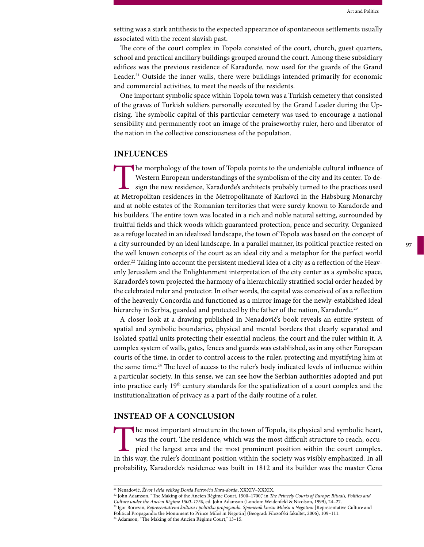setting was a stark antithesis to the expected appearance of spontaneous settlements usually associated with the recent slavish past.

The core of the court complex in Topola consisted of the court, church, guest quarters, school and practical ancillary buildings grouped around the court. Among these subsidiary edifices was the previous residence of Karađorđe, now used for the guards of the Grand Leader.<sup>21</sup> Outside the inner walls, there were buildings intended primarily for economic and commercial activities, to meet the needs of the residents.

One important symbolic space within Topola town was a Turkish cemetery that consisted of the graves of Turkish soldiers personally executed by the Grand Leader during the Uprising. The symbolic capital of this particular cemetery was used to encourage a national sensibility and permanently root an image of the praiseworthy ruler, hero and liberator of the nation in the collective consciousness of the population.

#### **INFLUENCES**

The morphology of the town of Topola points to the undeniable cultural influence of Western European understandings of the symbolism of the city and its center. To design the new residence, Karadorde's architects probably Western European understandings of the symbolism of the city and its center. To design the new residence, Karađorđe's architects probably turned to the practices used and at noble estates of the Romanian territories that were surely known to Karađorđe and his builders. The entire town was located in a rich and noble natural setting, surrounded by fruitful fields and thick woods which guaranteed protection, peace and security. Organized as a refuge located in an idealized landscape, the town of Topola was based on the concept of a city surrounded by an ideal landscape. In a parallel manner, its political practice rested on the well known concepts of the court as an ideal city and a metaphor for the perfect world order.22 Taking into account the persistent medieval idea of a city as a reflection of the Heavenly Jerusalem and the Enlightenment interpretation of the city center as a symbolic space, Karađorđe's town projected the harmony of a hierarchically stratified social order headed by the celebrated ruler and protector. In other words, the capital was conceived of as a reflection of the heavenly Concordia and functioned as a mirror image for the newly-established ideal hierarchy in Serbia, guarded and protected by the father of the nation, Karađorđe.<sup>23</sup>

A closer look at a drawing published in Nenadović's book reveals an entire system of spatial and symbolic boundaries, physical and mental borders that clearly separated and isolated spatial units protecting their essential nucleus, the court and the ruler within it. A complex system of walls, gates, fences and guards was established, as in any other European courts of the time, in order to control access to the ruler, protecting and mystifying him at the same time.<sup>24</sup> The level of access to the ruler's body indicated levels of influence within a particular society. In this sense, we can see how the Serbian authorities adopted and put into practice early 19<sup>th</sup> century standards for the spatialization of a court complex and the institutionalization of privacy as a part of the daily routine of a ruler.

#### **INSTEAD OF A CONCLUSION**

The most important structure in the town of Topola, its physical and symbolic heart, was the court. The residence, which was the most difficult structure to reach, occupied the largest area and the most prominent position was the court. The residence, which was the most difficult structure to reach, occupied the largest area and the most prominent position within the court complex. In this way, the ruler's dominant position within the society was visibly emphasized. In all probability, Karađorđe's residence was built in 1812 and its builder was the master Cena

22 John Adamson, "The Making of the Ancien Régime Court, 1500–1700," in *The Princely Courts of Europe: Rituals, Politics and Culture under the Ancien Régime 1500–1750*, ed. John Adamson (London: Weidenfeld & Nicolson, 1999), 24–27. <sup>23</sup> Igor Borozan, *Reprezentativna kultura i politička propaganda. Spomenik knezu Milošu u Negotinu* [Representative Culture and

<sup>21</sup> Nenadović, *Život i dela velikog Đorđa Petrovića Kara-đorđa*, XXXIV–XXXIX.

Political Propaganda: the Monument to Prince Miloš in Negotin] (Beograd: Filozofski fakultet, 2006), 109–111. <sup>24</sup> Adamson, "The Making of the Ancien Régime Court," 13-15.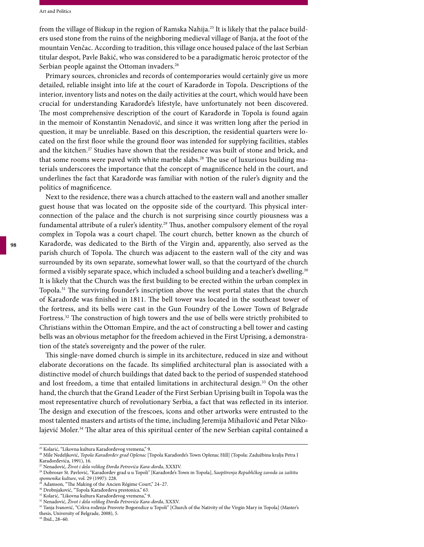from the village of Biskup in the region of Ramska Nahija.<sup>25</sup> It is likely that the palace builders used stone from the ruins of the neighboring medieval village of Banja, at the foot of the mountain Venčac. According to tradition, this village once housed palace of the last Serbian titular despot, Pavle Bakić, who was considered to be a paradigmatic heroic protector of the Serbian people against the Ottoman invaders.<sup>26</sup>

Primary sources, chronicles and records of contemporaries would certainly give us more detailed, reliable insight into life at the court of Karađorđe in Topola. Descriptions of the interior, inventory lists and notes on the daily activities at the court, which would have been crucial for understanding Karađorđe's lifestyle, have unfortunately not been discovered. The most comprehensive description of the court of Karađorđe in Topola is found again in the memoir of Konstantin Nenadović, and since it was written long after the period in question, it may be unreliable. Based on this description, the residential quarters were located on the first floor while the ground floor was intended for supplying facilities, stables and the kitchen.<sup>27</sup> Studies have shown that the residence was built of stone and brick, and that some rooms were paved with white marble slabs.<sup>28</sup> The use of luxurious building materials underscores the importance that the concept of magnificence held in the court, and underlines the fact that Karađorđe was familiar with notion of the ruler's dignity and the politics of magnificence.

Next to the residence, there was a church attached to the eastern wall and another smaller guest house that was located on the opposite side of the courtyard. This physical interconnection of the palace and the church is not surprising since courtly piousness was a fundamental attribute of a ruler's identity.<sup>29</sup> Thus, another compulsory element of the royal complex in Topola was a court chapel. The court church, better known as the church of Karađorđe, was dedicated to the Birth of the Virgin and, apparently, also served as the parish church of Topola. The church was adjacent to the eastern wall of the city and was surrounded by its own separate, somewhat lower wall, so that the courtyard of the church formed a visibly separate space, which included a school building and a teacher's dwelling.<sup>30</sup> It is likely that the Church was the first building to be erected within the urban complex in Topola.31 The surviving founder's inscription above the west portal states that the church of Karađorđe was finished in 1811. The bell tower was located in the southeast tower of the fortress, and its bells were cast in the Gun Foundry of the Lower Town of Belgrade Fortress.<sup>32</sup> The construction of high towers and the use of bells were strictly prohibited to Christians within the Ottoman Empire, and the act of constructing a bell tower and casting bells was an obvious metaphor for the freedom achieved in the First Uprising, a demonstration of the state's sovereignty and the power of the ruler.

This single-nave domed church is simple in its architecture, reduced in size and without elaborate decorations on the facade. Its simplified architectural plan is associated with a distinctive model of church buildings that dated back to the period of suspended statehood and lost freedom, a time that entailed limitations in architectural design.<sup>33</sup> On the other hand, the church that the Grand Leader of the First Serbian Uprising built in Topola was the most representative church of revolutionary Serbia, a fact that was reflected in its interior. The design and execution of the frescoes, icons and other artworks were entrusted to the most talented masters and artists of the time, including Jeremija Mihailović and Petar Nikolajević Moler.<sup>34</sup> The altar area of this spiritual center of the new Serbian capital contained a

<sup>25</sup> Kolarić, "Likovna kultura Karađorđevog vremena," 9.

<sup>26</sup> Mile Nedeljković, *Topola Karađorđev grad Oplenac* [Topola Karađorđe's Town Oplenac Hill] (Topola: Zadužbina kralja Petra I Karađorđevića, 1991), 16.

<sup>27</sup> Nenadović, *Život i dela velikog Đorđa Petrovića Kara-đorđa*, XXXIV.

<sup>28</sup> Dobrosav St. Pavlović, "Karađorđev grad u u Topoli" [Karađorđe's Town in Topola], *Saopštrenja Republičkog zavoda za zaštitu spomenika kulture*, vol. 29 (1997): 228. 29 Adamson, "The Making of the Ancien Régime Court," 24–27.

<sup>30</sup> Drobnjaković, "Topola Karađorđeva prestonica," 63.

<sup>&</sup>lt;sup>31</sup> Kolarić, "Likovna kultura Karađorđevog vremena," 9.

<sup>32</sup> Nenadović, *Život i dela velikog Đorđa Petrovića Kara-đorđa*, XXXV.

<sup>33</sup> Tanja Ivanović, "Crkva rođenja Presvete Bogorodice u Topoli" [Church of the Nativity of the Virgin Mary in Topola] (Master's thesis, University of Belgrade, 2008), 5.